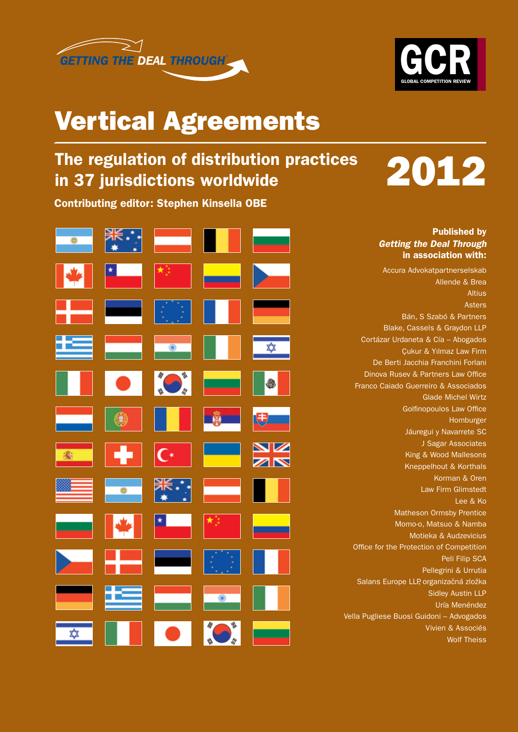



## Vertical Agreements

## The regulation of distribution practices in 37 jurisdictions worldwide

Contributing editor: Stephen Kinsella OBE

| 一卷 | $\ddot{\cdot}$ : | <u>a sa sa</u>                                                                                                                                                                                                                                                                                                                              |                                                                                                                        |               |
|----|------------------|---------------------------------------------------------------------------------------------------------------------------------------------------------------------------------------------------------------------------------------------------------------------------------------------------------------------------------------------|------------------------------------------------------------------------------------------------------------------------|---------------|
|    |                  | 梭目                                                                                                                                                                                                                                                                                                                                          |                                                                                                                        |               |
|    |                  | 49                                                                                                                                                                                                                                                                                                                                          |                                                                                                                        | <b>Partie</b> |
|    | و مست            | $\bullet$                                                                                                                                                                                                                                                                                                                                   |                                                                                                                        | $\frac{1}{2}$ |
|    |                  | $\blacksquare$                                                                                                                                                                                                                                                                                                                              | l an                                                                                                                   | $\bullet$     |
|    |                  | $\circ$ $\qquad$ $\qquad$ $\qquad$ $\qquad$ $\qquad$ $\qquad$ $\qquad$ $\qquad$ $\qquad$ $\qquad$ $\qquad$ $\qquad$ $\qquad$ $\qquad$ $\qquad$ $\qquad$ $\qquad$ $\qquad$ $\qquad$ $\qquad$ $\qquad$ $\qquad$ $\qquad$ $\qquad$ $\qquad$ $\qquad$ $\qquad$ $\qquad$ $\qquad$ $\qquad$ $\qquad$ $\qquad$ $\qquad$ $\qquad$ $\qquad$ $\qquad$ | ۸                                                                                                                      |               |
|    |                  |                                                                                                                                                                                                                                                                                                                                             |                                                                                                                        |               |
|    | الہ ی            |                                                                                                                                                                                                                                                                                                                                             | $\begin{array}{ c c c c c }\n\hline\n\textbf{C}^{\star} & \textbf{L} & \textbf{L} & \textbf{L} \\ \hline\n\end{array}$ | NK<br>AK      |
|    | $\frac{1}{2}$    | *∴<br>*∴                                                                                                                                                                                                                                                                                                                                    | an an Dùbhlac<br>Breithean                                                                                             |               |
|    |                  | $\left \frac{\mathbf{x}_i - \mathbf{y}_i}{\ \mathbf{x}_i - \mathbf{y}_i\ } \right  \geq 1$                                                                                                                                                                                                                                                  |                                                                                                                        |               |
|    |                  |                                                                                                                                                                                                                                                                                                                                             |                                                                                                                        |               |
| ٠  |                  |                                                                                                                                                                                                                                                                                                                                             | $\overline{\phantom{0}}$                                                                                               |               |

2012

#### Published by *Getting the Deal Through* in association with:

Accura Advokatpartnerselskab Allende & Brea Altius Asters Bán, S Szabó & Partners Blake, Cassels & Graydon LLP Cortázar Urdaneta & Cía – Abogados Çukur & Yılmaz Law Firm De Berti Jacchia Franchini Forlani Dinova Rusev & Partners Law Office Franco Caiado Guerreiro & Associados Glade Michel Wirtz Golfinopoulos Law Office Homburger Jáuregui y Navarrete SC J Sagar Associates King & Wood Mallesons Kneppelhout & Korthals Korman & Oren Law Firm Glimstedt Lee & Ko Matheson Ormsby Prentice Momo-o, Matsuo & Namba Motieka & Audzevicius Office for the Protection of Competition Peli Filip SCA Pellegrini & Urrutia Salans Europe LLP, organizačná zložka Sidley Austin LLP Uría Menéndez Vella Pugliese Buosi Guidoni – Advogados Vivien & Associés Wolf Theiss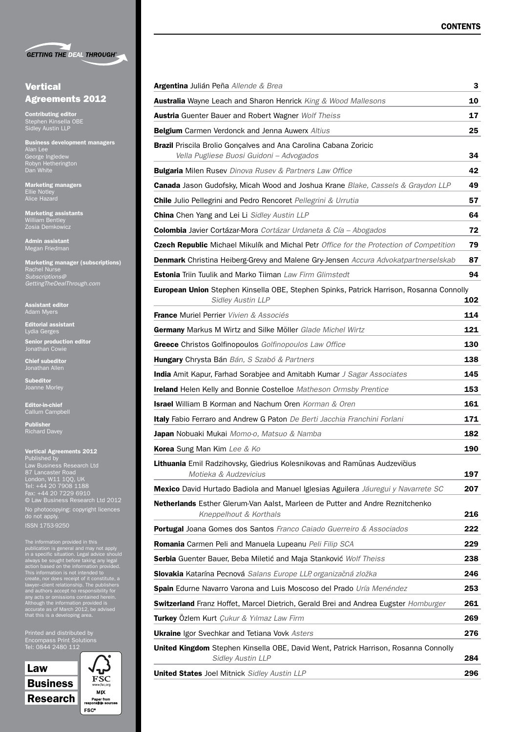**GETTING THE DEAL THROUGH®** 

#### **Vertical** Agreements 2012

Contributing editor Stephen Kinsella OBE Sidley Austin LLP

Business development managers Alan Lee George Ingledew Robyn Hetherington Dan White

Marketing managers Ellie Notley Alice Hazard

Marketing assistants William Bentley

Admin assistant Megan Friedman

Marketing manager (subscriptions) Rachel Nurse *Subscriptions@ GettingTheDealThrough.com*

Assistant editor Adam Myers

Editorial assistant Lydia Gerges Senior production editor

Jonathan Cowie

Chief subeditor Jonathan Allen

Subeditor Joanne Morley

Editor-in-chief Callum Campbell

Publisher Richard Davey

ISSN 1753-9250

#### Vertical Agreements 2012 Published by Law Business Research Ltd 87 Lancaster Road London, W11 1QQ, UK Tel: +44 20 7908 1188 Fax: +44 20 7229 6910 © Law Business Research Ltd 2012 No photocopying: copyright licences do not apply.

The information provided in this<br>publication is general and may not apply<br>in a specific situation. Legal advice should<br>always be sought before taking any legal<br>action based on the information provided.<br>This information is

Printed and distributed by Encompass Print Solutions Tel: 0844 2480 112



| www.fsc.org                    |
|--------------------------------|
| MIX                            |
| Paper from<br>ponsible sources |

| <b>Argentina</b> Julián Peña Allende & Brea                                                                                | 3   |
|----------------------------------------------------------------------------------------------------------------------------|-----|
| <b>Australia</b> Wayne Leach and Sharon Henrick King & Wood Mallesons                                                      | 10  |
| <b>Austria</b> Guenter Bauer and Robert Wagner Wolf Theiss                                                                 | 17  |
| <b>Belgium</b> Carmen Verdonck and Jenna Auwerx Altius                                                                     | 25  |
| <b>Brazil</b> Priscila Brolio Gonçalves and Ana Carolina Cabana Zoricic<br>Vella Pugliese Buosi Guidoni - Advogados        | 34  |
| <b>Bulgaria</b> Milen Rusev Dinova Rusev & Partners Law Office                                                             | 42  |
| Canada Jason Gudofsky, Micah Wood and Joshua Krane Blake, Cassels & Graydon LLP                                            | 49  |
| <b>Chile</b> Julio Pellegrini and Pedro Rencoret Pellegrini & Urrutia                                                      | 57  |
| <b>China</b> Chen Yang and Lei Li Sidley Austin LLP                                                                        | 64  |
| Colombia Javier Cortázar-Mora Cortázar Urdaneta & Cía - Abogados                                                           | 72  |
| Czech Republic Michael Mikulík and Michal Petr Office for the Protection of Competition                                    | 79  |
| <b>Denmark</b> Christina Heiberg-Grevy and Malene Gry-Jensen Accura Advokatpartnerselskab                                  | 87  |
| <b>Estonia</b> Triin Tuulik and Marko Tiiman Law Firm Glimstedt                                                            | 94  |
| <b>European Union</b> Stephen Kinsella OBE, Stephen Spinks, Patrick Harrison, Rosanna Connolly<br><b>Sidley Austin LLP</b> | 102 |
| <b>France</b> Muriel Perrier Vivien & Associés                                                                             | 114 |
| Germany Markus M Wirtz and Silke Möller Glade Michel Wirtz                                                                 | 121 |
| <b>Greece</b> Christos Golfinopoulos Golfinopoulos Law Office                                                              | 130 |
| <b>Hungary</b> Chrysta Bán Bán, S Szabó & Partners                                                                         | 138 |
| <b>India</b> Amit Kapur, Farhad Sorabjee and Amitabh Kumar J Sagar Associates                                              | 145 |
| <b>Ireland</b> Helen Kelly and Bonnie Costelloe Matheson Ormsby Prentice                                                   | 153 |
| <b>Israel</b> William B Korman and Nachum Oren Korman & Oren                                                               | 161 |
| <b>Italy</b> Fabio Ferraro and Andrew G Paton De Berti Jacchia Franchini Forlani                                           | 171 |
| <b>Japan</b> Nobuaki Mukai Momo-o, Matsuo & Namba                                                                          | 182 |
| Korea Sung Man Kim Lee & Ko                                                                                                | 190 |
| Lithuania Emil Radzihovsky, Giedrius Kolesnikovas and Ramūnas Audzevičius<br>Motieka & Audzevicius                         | 197 |
| <b>Mexico</b> David Hurtado Badiola and Manuel Iglesias Aguilera Jáuregui y Navarrete SC                                   | 207 |
| Netherlands Esther Glerum-Van Aalst, Marleen de Putter and Andre Reznitchenko<br>Kneppelhout & Korthals                    | 216 |
| <b>Portugal</b> Joana Gomes dos Santos Franco Caiado Guerreiro & Associados                                                | 222 |
| Romania Carmen Peli and Manuela Lupeanu Peli Filip SCA                                                                     | 229 |
| Serbia Guenter Bauer, Beba Miletić and Maja Stanković Wolf Theiss                                                          | 238 |
| Slovakia Katarína Pecnová Salans Europe LLP, organizačná zložka                                                            | 246 |
| Spain Edurne Navarro Varona and Luis Moscoso del Prado Uría Menéndez                                                       | 253 |
| <b>Switzerland</b> Franz Hoffet, Marcel Dietrich, Gerald Brei and Andrea Eugster Homburger                                 | 261 |
| Turkey Özlem Kurt Çukur & Yılmaz Law Firm                                                                                  | 269 |
| <b>Ukraine</b> Igor Svechkar and Tetiana Vovk Asters                                                                       | 276 |
| <b>United Kingdom</b> Stephen Kinsella OBE, David Went, Patrick Harrison, Rosanna Connolly<br><b>Sidley Austin LLP</b>     | 284 |
| United States Joel Mitnick Sidley Austin LLP                                                                               | 296 |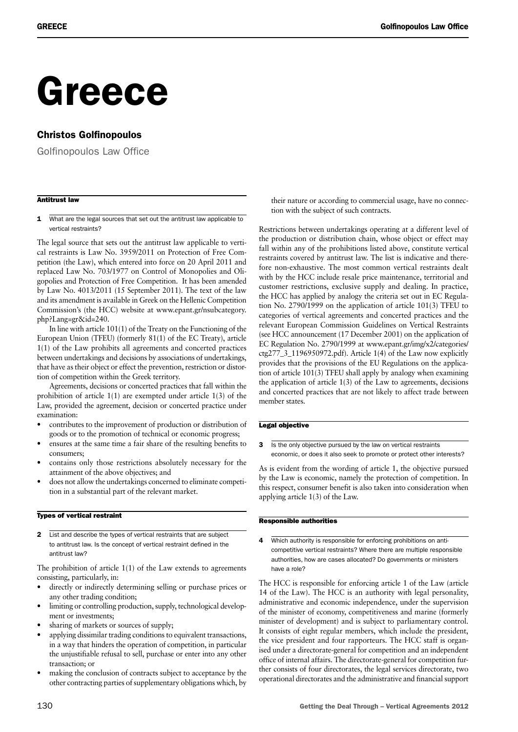# Greece

#### Christos Golfinopoulos

Golfinopoulos Law Office

#### Antitrust law

1 What are the legal sources that set out the antitrust law applicable to vertical restraints?

The legal source that sets out the antitrust law applicable to vertical restraints is Law No. 3959/2011 on Protection of Free Competition (the Law), which entered into force on 20 April 2011 and replaced Law No. 703/1977 on Control of Monopolies and Oligopolies and Protection of Free Competition. It has been amended by Law No. 4013/2011 (15 September 2011). The text of the law and its amendment is available in Greek on the Hellenic Competition Commission's (the HCC) website at www.epant.gr/nsubcategory. php?Lang=gr&id=240.

In line with article 101(1) of the Treaty on the Functioning of the European Union (TFEU) (formerly 81(1) of the EC Treaty), article 1(1) of the Law prohibits all agreements and concerted practices between undertakings and decisions by associations of undertakings, that have as their object or effect the prevention, restriction or distortion of competition within the Greek territory.

Agreements, decisions or concerted practices that fall within the prohibition of article 1(1) are exempted under article 1(3) of the Law, provided the agreement, decision or concerted practice under examination:

- contributes to the improvement of production or distribution of goods or to the promotion of technical or economic progress;
- ensures at the same time a fair share of the resulting benefits to consumers;
- contains only those restrictions absolutely necessary for the attainment of the above objectives; and
- does not allow the undertakings concerned to eliminate competition in a substantial part of the relevant market.

#### Types of vertical restraint

2 List and describe the types of vertical restraints that are subject to antitrust law. Is the concept of vertical restraint defined in the antitrust law?

The prohibition of article 1(1) of the Law extends to agreements consisting, particularly, in:

- directly or indirectly determining selling or purchase prices or any other trading condition;
- limiting or controlling production, supply, technological development or investments;
- sharing of markets or sources of supply;
- applying dissimilar trading conditions to equivalent transactions, in a way that hinders the operation of competition, in particular the unjustifiable refusal to sell, purchase or enter into any other transaction; or
- making the conclusion of contracts subject to acceptance by the other contracting parties of supplementary obligations which, by

their nature or according to commercial usage, have no connection with the subject of such contracts.

Restrictions between undertakings operating at a different level of the production or distribution chain, whose object or effect may fall within any of the prohibitions listed above, constitute vertical restraints covered by antitrust law. The list is indicative and therefore non-exhaustive. The most common vertical restraints dealt with by the HCC include resale price maintenance, territorial and customer restrictions, exclusive supply and dealing. In practice, the HCC has applied by analogy the criteria set out in EC Regulation No. 2790/1999 on the application of article 101(3) TFEU to categories of vertical agreements and concerted practices and the relevant European Commission Guidelines on Vertical Restraints (see HCC announcement (17 December 2001) on the application of EC Regulation No. 2790/1999 at www.epant.gr/img/x2/categories/ ctg277\_3\_1196950972.pdf). Article 1(4) of the Law now explicitly provides that the provisions of the EU Regulations on the application of article 101(3) TFEU shall apply by analogy when examining the application of article 1(3) of the Law to agreements, decisions and concerted practices that are not likely to affect trade between member states.

#### Legal objective

3 Is the only objective pursued by the law on vertical restraints economic, or does it also seek to promote or protect other interests?

As is evident from the wording of article 1, the objective pursued by the Law is economic, namely the protection of competition. In this respect, consumer benefit is also taken into consideration when applying article 1(3) of the Law.

#### Responsible authorities

4 Which authority is responsible for enforcing prohibitions on anticompetitive vertical restraints? Where there are multiple responsible authorities, how are cases allocated? Do governments or ministers have a role?

The HCC is responsible for enforcing article 1 of the Law (article 14 of the Law). The HCC is an authority with legal personality, administrative and economic independence, under the supervision of the minister of economy, competitiveness and marine (formerly minister of development) and is subject to parliamentary control. It consists of eight regular members, which include the president, the vice president and four rapporteurs. The HCC staff is organised under a directorate-general for competition and an independent office of internal affairs. The directorate-general for competition further consists of four directorates, the legal services directorate, two operational directorates and the administrative and financial support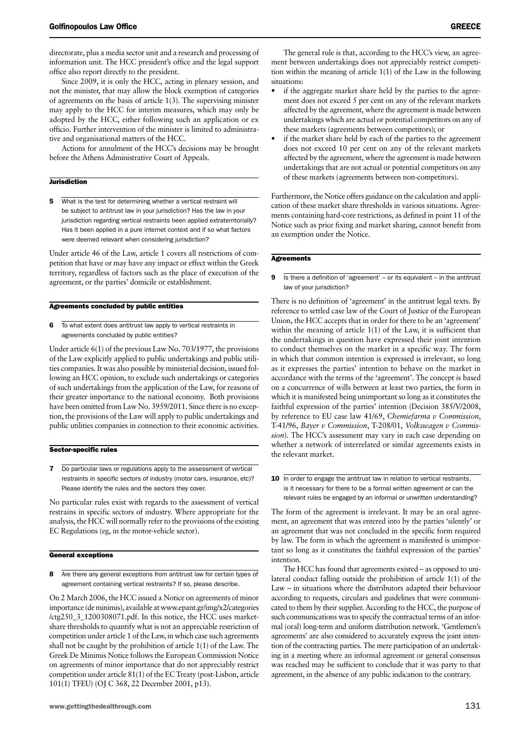directorate, plus a media sector unit and a research and processing of information unit. The HCC president's office and the legal support office also report directly to the president.

Since 2009, it is only the HCC, acting in plenary session, and not the minister, that may allow the block exemption of categories of agreements on the basis of article 1(3). The supervising minister may apply to the HCC for interim measures, which may only be adopted by the HCC, either following such an application or ex officio. Further intervention of the minister is limited to administrative and organisational matters of the HCC.

Actions for annulment of the HCC's decisions may be brought before the Athens Administrative Court of Appeals.

#### **Jurisdiction**

5 What is the test for determining whether a vertical restraint will be subject to antitrust law in your jurisdiction? Has the law in your jurisdiction regarding vertical restraints been applied extraterritorially? Has it been applied in a pure internet context and if so what factors were deemed relevant when considering jurisdiction?

Under article 46 of the Law, article 1 covers all restrictions of competition that have or may have any impact or effect within the Greek territory, regardless of factors such as the place of execution of the agreement, or the parties' domicile or establishment.

#### Agreements concluded by public entities

6 To what extent does antitrust law apply to vertical restraints in agreements concluded by public entities?

Under article 6(1) of the previous Law No. 703/1977, the provisions of the Law explicitly applied to public undertakings and public utilities companies. It was also possible by ministerial decision, issued following an HCC opinion, to exclude such undertakings or categories of such undertakings from the application of the Law, for reasons of their greater importance to the national economy. Both provisions have been omitted from Law No. 3959/2011. Since there is no exception, the provisions of the Law will apply to public undertakings and public utilities companies in connection to their economic activities.

#### Sector-specific rules

7 Do particular laws or regulations apply to the assessment of vertical restraints in specific sectors of industry (motor cars, insurance, etc)? Please identify the rules and the sectors they cover.

No particular rules exist with regards to the assessment of vertical restrains in specific sectors of industry. Where appropriate for the analysis, the HCC will normally refer to the provisions of the existing EC Regulations (eg, in the motor-vehicle sector).

#### General exceptions

8 Are there any general exceptions from antitrust law for certain types of agreement containing vertical restraints? If so, please describe.

On 2 March 2006, the HCC issued a Notice on agreements of minor importance (de minimis), available at www.epant.gr/img/x2/categories /ctg250\_3\_1200308071.pdf. In this notice, the HCC uses marketshare thresholds to quantify what is not an appreciable restriction of competition under article 1 of the Law, in which case such agreements shall not be caught by the prohibition of article 1(1) of the Law. The Greek De Minimis Notice follows the European Commission Notice on agreements of minor importance that do not appreciably restrict competition under article 81(1) of the EC Treaty (post-Lisbon, article 101(1) TFEU) (OJ C 368, 22 December 2001, p13).

cation of these market share thresholds in various situations. Agreements containing hard-core restrictions, as defined in point 11 of the

situations:

#### **Agreements**

an exemption under the Notice.

9 Is there a definition of 'agreement' – or its equivalent – in the antitrust law of your jurisdiction?

The general rule is that, according to the HCC's view, an agreement between undertakings does not appreciably restrict competition within the meaning of article 1(1) of the Law in the following

if the aggregate market share held by the parties to the agreement does not exceed 5 per cent on any of the relevant markets affected by the agreement, where the agreement is made between undertakings which are actual or potential competitors on any of

if the market share held by each of the parties to the agreement does not exceed 10 per cent on any of the relevant markets affected by the agreement, where the agreement is made between undertakings that are not actual or potential competitors on any of these markets (agreements between non-competitors).

Furthermore, the Notice offers guidance on the calculation and appli-

Notice such as price fixing and market sharing, cannot benefit from

these markets (agreements between competitors); or

There is no definition of 'agreement' in the antitrust legal texts. By reference to settled case law of the Court of Justice of the European Union, the HCC accepts that in order for there to be an 'agreement' within the meaning of article 1(1) of the Law, it is sufficient that the undertakings in question have expressed their joint intention to conduct themselves on the market in a specific way. The form in which that common intention is expressed is irrelevant, so long as it expresses the parties' intention to behave on the market in accordance with the terms of the 'agreement'. The concept is based on a concurrence of wills between at least two parties, the form in which it is manifested being unimportant so long as it constitutes the faithful expression of the parties' intention (Decision 385/V/2008, by reference to EU case law 41/69, *Chemiefarma v Commission*, T-41/96, *Bayer v Commission*, T-208/01, *Volkswagen v Commission*). The HCC's assessment may vary in each case depending on whether a network of interrelated or similar agreements exists in the relevant market.

10 In order to engage the antitrust law in relation to vertical restraints, is it necessary for there to be a formal written agreement or can the relevant rules be engaged by an informal or unwritten understanding?

The form of the agreement is irrelevant. It may be an oral agreement, an agreement that was entered into by the parties 'silently' or an agreement that was not concluded in the specific form required by law. The form in which the agreement is manifested is unimportant so long as it constitutes the faithful expression of the parties' intention.

The HCC has found that agreements existed – as opposed to unilateral conduct falling outside the prohibition of article 1(1) of the Law – in situations where the distributors adapted their behaviour according to requests, circulars and guidelines that were communicated to them by their supplier. According to the HCC, the purpose of such communications was to specify the contractual terms of an informal (oral) long-term and uniform distribution network. 'Gentlemen's agreements' are also considered to accurately express the joint intention of the contracting parties. The mere participation of an undertaking in a meeting where an informal agreement or general consensus was reached may be sufficient to conclude that it was party to that agreement, in the absence of any public indication to the contrary.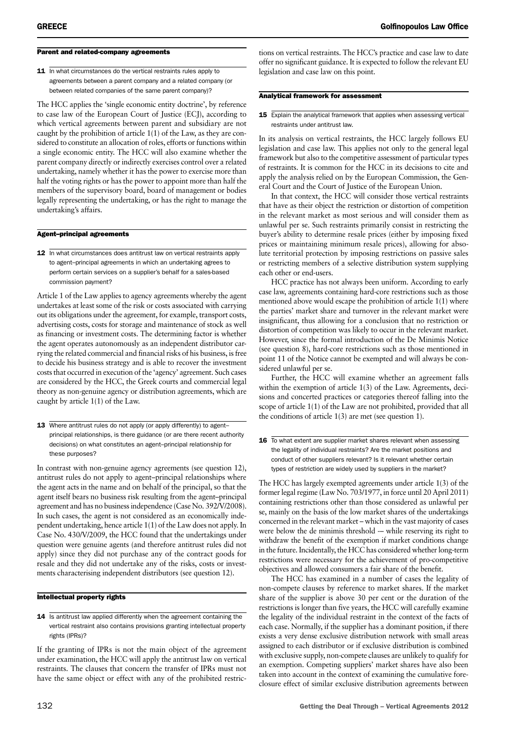#### Parent and related-company agreements

11 In what circumstances do the vertical restraints rules apply to agreements between a parent company and a related company (or between related companies of the same parent company)?

The HCC applies the 'single economic entity doctrine', by reference to case law of the European Court of Justice (ECJ), according to which vertical agreements between parent and subsidiary are not caught by the prohibition of article 1(1) of the Law, as they are considered to constitute an allocation of roles, efforts or functions within a single economic entity. The HCC will also examine whether the parent company directly or indirectly exercises control over a related undertaking, namely whether it has the power to exercise more than half the voting rights or has the power to appoint more than half the members of the supervisory board, board of management or bodies legally representing the undertaking, or has the right to manage the undertaking's affairs.

#### Agent–principal agreements

12 In what circumstances does antitrust law on vertical restraints apply to agent–principal agreements in which an undertaking agrees to perform certain services on a supplier's behalf for a sales-based commission payment?

Article 1 of the Law applies to agency agreements whereby the agent undertakes at least some of the risk or costs associated with carrying out its obligations under the agreement, for example, transport costs, advertising costs, costs for storage and maintenance of stock as well as financing or investment costs. The determining factor is whether the agent operates autonomously as an independent distributor carrying the related commercial and financial risks of his business, is free to decide his business strategy and is able to recover the investment costs that occurred in execution of the 'agency' agreement. Such cases are considered by the HCC, the Greek courts and commercial legal theory as non-genuine agency or distribution agreements, which are caught by article 1(1) of the Law.

13 Where antitrust rules do not apply (or apply differently) to agentprincipal relationships, is there guidance (or are there recent authority decisions) on what constitutes an agent–principal relationship for these purposes?

In contrast with non-genuine agency agreements (see question 12), antitrust rules do not apply to agent–principal relationships where the agent acts in the name and on behalf of the principal, so that the agent itself bears no business risk resulting from the agent–principal agreement and has no business independence (Case No. 392/V/2008). In such cases, the agent is not considered as an economically independent undertaking, hence article 1(1) of the Law does not apply. In Case No. 430/V/2009, the HCC found that the undertakings under question were genuine agents (and therefore antitrust rules did not apply) since they did not purchase any of the contract goods for resale and they did not undertake any of the risks, costs or investments characterising independent distributors (see question 12).

#### Intellectual property rights

14 Is antitrust law applied differently when the agreement containing the vertical restraint also contains provisions granting intellectual property rights (IPRs)?

If the granting of IPRs is not the main object of the agreement under examination, the HCC will apply the antitrust law on vertical restraints. The clauses that concern the transfer of IPRs must not have the same object or effect with any of the prohibited restrictions on vertical restraints. The HCC's practice and case law to date offer no significant guidance. It is expected to follow the relevant EU legislation and case law on this point.

#### Analytical framework for assessment

#### **15** Explain the analytical framework that applies when assessing vertical restraints under antitrust law.

In its analysis on vertical restraints, the HCC largely follows EU legislation and case law. This applies not only to the general legal framework but also to the competitive assessment of particular types of restraints. It is common for the HCC in its decisions to cite and apply the analysis relied on by the European Commission, the General Court and the Court of Justice of the European Union.

In that context, the HCC will consider those vertical restraints that have as their object the restriction or distortion of competition in the relevant market as most serious and will consider them as unlawful per se. Such restraints primarily consist in restricting the buyer's ability to determine resale prices (either by imposing fixed prices or maintaining minimum resale prices), allowing for absolute territorial protection by imposing restrictions on passive sales or restricting members of a selective distribution system supplying each other or end-users.

HCC practice has not always been uniform. According to early case law, agreements containing hard-core restrictions such as those mentioned above would escape the prohibition of article 1(1) where the parties' market share and turnover in the relevant market were insignificant, thus allowing for a conclusion that no restriction or distortion of competition was likely to occur in the relevant market. However, since the formal introduction of the De Minimis Notice (see question 8), hard-core restrictions such as those mentioned in point 11 of the Notice cannot be exempted and will always be considered unlawful per se.

Further, the HCC will examine whether an agreement falls within the exemption of article 1(3) of the Law. Agreements, decisions and concerted practices or categories thereof falling into the scope of article 1(1) of the Law are not prohibited, provided that all the conditions of article 1(3) are met (see question 1).

16 To what extent are supplier market shares relevant when assessing the legality of individual restraints? Are the market positions and conduct of other suppliers relevant? Is it relevant whether certain types of restriction are widely used by suppliers in the market?

The HCC has largely exempted agreements under article 1(3) of the former legal regime (Law No. 703/1977, in force until 20 April 2011) containing restrictions other than those considered as unlawful per se, mainly on the basis of the low market shares of the undertakings concerned in the relevant market – which in the vast majority of cases were below the de minimis threshold -– while reserving its right to withdraw the benefit of the exemption if market conditions change in the future. Incidentally, the HCC has considered whether long-term restrictions were necessary for the achievement of pro-competitive objectives and allowed consumers a fair share of the benefit.

The HCC has examined in a number of cases the legality of non-compete clauses by reference to market shares. If the market share of the supplier is above 30 per cent or the duration of the restrictions is longer than five years, the HCC will carefully examine the legality of the individual restraint in the context of the facts of each case. Normally, if the supplier has a dominant position, if there exists a very dense exclusive distribution network with small areas assigned to each distributor or if exclusive distribution is combined with exclusive supply, non-compete clauses are unlikely to qualify for an exemption. Competing suppliers' market shares have also been taken into account in the context of examining the cumulative foreclosure effect of similar exclusive distribution agreements between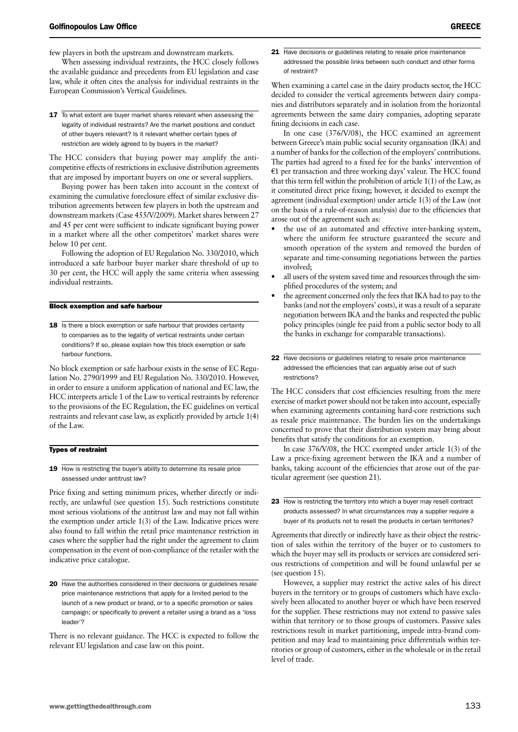few players in both the upstream and downstream markets.

When assessing individual restraints, the HCC closely follows the available guidance and precedents from EU legislation and case law, while it often cites the analysis for individual restraints in the European Commission's Vertical Guidelines.

17 To what extent are buyer market shares relevant when assessing the legality of individual restraints? Are the market positions and conduct of other buyers relevant? Is it relevant whether certain types of restriction are widely agreed to by buyers in the market?

The HCC considers that buying power may amplify the anticompetitive effects of restrictions in exclusive distribution agreements that are imposed by important buyers on one or several suppliers.

Buying power has been taken into account in the context of examining the cumulative foreclosure effect of similar exclusive distribution agreements between few players in both the upstream and downstream markets (Case 455/V/2009). Market shares between 27 and 45 per cent were sufficient to indicate significant buying power in a market where all the other competitors' market shares were below 10 per cent.

Following the adoption of EU Regulation No. 330/2010, which introduced a safe harbour buyer marker share threshold of up to 30 per cent, the HCC will apply the same criteria when assessing individual restraints.

#### Block exemption and safe harbour

18 Is there a block exemption or safe harbour that provides certainty to companies as to the legality of vertical restraints under certain conditions? If so, please explain how this block exemption or safe harbour functions.

No block exemption or safe harbour exists in the sense of EC Regulation No. 2790/1999 and EU Regulation No. 330/2010. However, in order to ensure a uniform application of national and EC law, the HCC interprets article 1 of the Law to vertical restraints by reference to the provisions of the EC Regulation, the EC guidelines on vertical restraints and relevant case law, as explicitly provided by article 1(4) of the Law.

#### Types of restraint

19 How is restricting the buyer's ability to determine its resale price assessed under antitrust law?

Price fixing and setting minimum prices, whether directly or indirectly, are unlawful (see question 15). Such restrictions constitute most serious violations of the antitrust law and may not fall within the exemption under article 1(3) of the Law. Indicative prices were also found to fall within the retail price maintenance restriction in cases where the supplier had the right under the agreement to claim compensation in the event of non-compliance of the retailer with the indicative price catalogue.

20 Have the authorities considered in their decisions or guidelines resale price maintenance restrictions that apply for a limited period to the launch of a new product or brand, or to a specific promotion or sales campaign; or specifically to prevent a retailer using a brand as a 'loss leader'?

There is no relevant guidance. The HCC is expected to follow the relevant EU legislation and case law on this point.

21 Have decisions or guidelines relating to resale price maintenance addressed the possible links between such conduct and other forms of restraint?

When examining a cartel case in the dairy products sector, the HCC decided to consider the vertical agreements between dairy companies and distributors separately and in isolation from the horizontal agreements between the same dairy companies, adopting separate fining decisions in each case.

In one case (376/V/08), the HCC examined an agreement between Greece's main public social security organisation (IKA) and a number of banks for the collection of the employers' contributions. The parties had agreed to a fixed fee for the banks' intervention of  $E1$  per transaction and three working days' valeur. The HCC found that this term fell within the prohibition of article 1(1) of the Law, as it constituted direct price fixing; however, it decided to exempt the agreement (individual exemption) under article 1(3) of the Law (not on the basis of a rule-of-reason analysis) due to the efficiencies that arose out of the agreement such as:

- the use of an automated and effective inter-banking system, where the uniform fee structure guaranteed the secure and smooth operation of the system and removed the burden of separate and time-consuming negotiations between the parties involved;
- all users of the system saved time and resources through the simplified procedures of the system; and
- the agreement concerned only the fees that IKA had to pay to the banks (and not the employers' costs), it was a result of a separate negotiation between IKA and the banks and respected the public policy principles (single fee paid from a public sector body to all the banks in exchange for comparable transactions).
- 22 Have decisions or guidelines relating to resale price maintenance addressed the efficiencies that can arguably arise out of such restrictions?

The HCC considers that cost efficiencies resulting from the mere exercise of market power should not be taken into account, especially when examining agreements containing hard-core restrictions such as resale price maintenance. The burden lies on the undertakings concerned to prove that their distribution system may bring about benefits that satisfy the conditions for an exemption.

In case 376/V/08, the HCC exempted under article 1(3) of the Law a price-fixing agreement between the IKA and a number of banks, taking account of the efficiencies that arose out of the particular agreement (see question 21).

Agreements that directly or indirectly have as their object the restriction of sales within the territory of the buyer or to customers to which the buyer may sell its products or services are considered serious restrictions of competition and will be found unlawful per se (see question 15).

However, a supplier may restrict the active sales of his direct buyers in the territory or to groups of customers which have exclusively been allocated to another buyer or which have been reserved for the supplier. These restrictions may not extend to passive sales within that territory or to those groups of customers. Passive sales restrictions result in market partitioning, impede intra-brand competition and may lead to maintaining price differentials within territories or group of customers, either in the wholesale or in the retail level of trade.

<sup>23</sup> How is restricting the territory into which a buyer may resell contract products assessed? In what circumstances may a supplier require a buyer of its products not to resell the products in certain territories?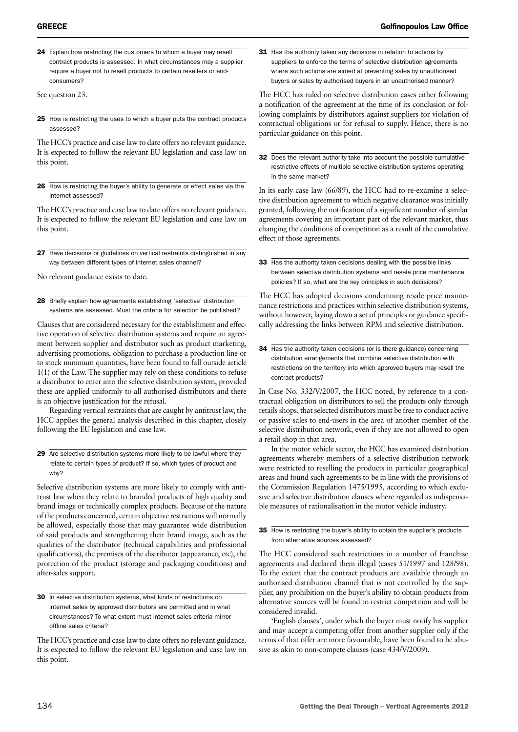24 Explain how restricting the customers to whom a buyer may resell contract products is assessed. In what circumstances may a supplier require a buyer not to resell products to certain resellers or endconsumers?

See question 23.

25 How is restricting the uses to which a buyer puts the contract products assessed?

The HCC's practice and case law to date offers no relevant guidance. It is expected to follow the relevant EU legislation and case law on this point.

26 How is restricting the buyer's ability to generate or effect sales via the internet assessed?

The HCC's practice and case law to date offers no relevant guidance. It is expected to follow the relevant EU legislation and case law on this point.

27 Have decisions or guidelines on vertical restraints distinguished in any way between different types of internet sales channel?

No relevant guidance exists to date.

28 Briefly explain how agreements establishing 'selective' distribution systems are assessed. Must the criteria for selection be published?

Clauses that are considered necessary for the establishment and effective operation of selective distribution systems and require an agreement between supplier and distributor such as product marketing, advertising promotions, obligation to purchase a production line or to stock minimum quantities, have been found to fall outside article 1(1) of the Law. The supplier may rely on these conditions to refuse a distributor to enter into the selective distribution system, provided these are applied uniformly to all authorised distributors and there is an objective justification for the refusal.

Regarding vertical restraints that are caught by antitrust law, the HCC applies the general analysis described in this chapter, closely following the EU legislation and case law.

29 Are selective distribution systems more likely to be lawful where they relate to certain types of product? If so, which types of product and why?

Selective distribution systems are more likely to comply with antitrust law when they relate to branded products of high quality and brand image or technically complex products. Because of the nature of the products concerned, certain objective restrictions will normally be allowed, especially those that may guarantee wide distribution of said products and strengthening their brand image, such as the qualities of the distributor (technical capabilities and professional qualifications), the premises of the distributor (appearance, etc), the protection of the product (storage and packaging conditions) and after-sales support.

30 In selective distribution systems, what kinds of restrictions on internet sales by approved distributors are permitted and in what circumstances? To what extent must internet sales criteria mirror offline sales criteria?

The HCC's practice and case law to date offers no relevant guidance. It is expected to follow the relevant EU legislation and case law on this point.

31 Has the authority taken any decisions in relation to actions by suppliers to enforce the terms of selective distribution agreements where such actions are aimed at preventing sales by unauthorised buyers or sales by authorised buyers in an unauthorised manner?

The HCC has ruled on selective distribution cases either following a notification of the agreement at the time of its conclusion or following complaints by distributors against suppliers for violation of contractual obligations or for refusal to supply. Hence, there is no particular guidance on this point.

32 Does the relevant authority take into account the possible cumulative restrictive effects of multiple selective distribution systems operating in the same market?

In its early case law (66/89), the HCC had to re-examine a selective distribution agreement to which negative clearance was initially granted, following the notification of a significant number of similar agreements covering an important part of the relevant market, thus changing the conditions of competition as a result of the cumulative effect of those agreements.

33 Has the authority taken decisions dealing with the possible links between selective distribution systems and resale price maintenance policies? If so, what are the key principles in such decisions?

The HCC has adopted decisions condemning resale price maintenance restrictions and practices within selective distribution systems, without however, laying down a set of principles or guidance specifically addressing the links between RPM and selective distribution.

34 Has the authority taken decisions (or is there guidance) concerning distribution arrangements that combine selective distribution with restrictions on the territory into which approved buyers may resell the contract products?

In Case No. 332/V/2007, the HCC noted, by reference to a contractual obligation on distributors to sell the products only through retails shops, that selected distributors must be free to conduct active or passive sales to end-users in the area of another member of the selective distribution network, even if they are not allowed to open a retail shop in that area.

In the motor vehicle sector, the HCC has examined distribution agreements whereby members of a selective distribution network were restricted to reselling the products in particular geographical areas and found such agreements to be in line with the provisions of the Commission Regulation 1475/1995, according to which exclusive and selective distribution clauses where regarded as indispensable measures of rationalisation in the motor vehicle industry.

#### 35 How is restricting the buyer's ability to obtain the supplier's products from alternative sources assessed?

The HCC considered such restrictions in a number of franchise agreements and declared them illegal (cases 51/1997 and 128/98). To the extent that the contract products are available through an authorised distribution channel that is not controlled by the supplier, any prohibition on the buyer's ability to obtain products from alternative sources will be found to restrict competition and will be considered invalid.

'English clauses', under which the buyer must notify his supplier and may accept a competing offer from another supplier only if the terms of that offer are more favourable, have been found to be abusive as akin to non-compete clauses (case 434/V/2009).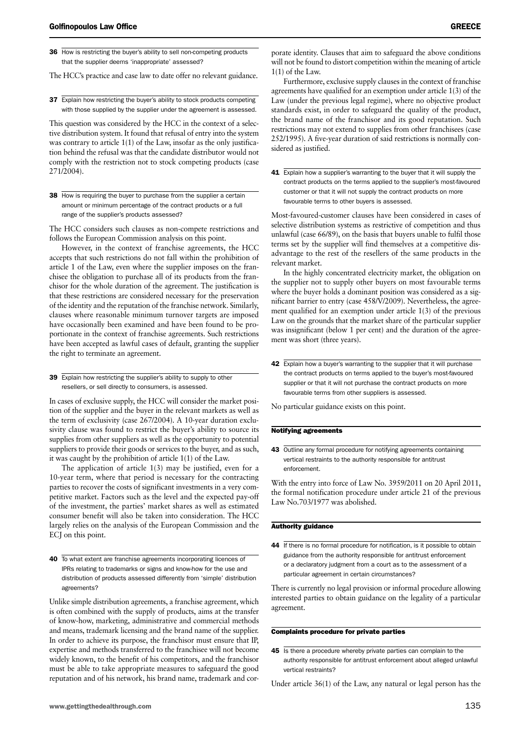36 How is restricting the buyer's ability to sell non-competing products that the supplier deems 'inappropriate' assessed?

The HCC's practice and case law to date offer no relevant guidance.

37 Explain how restricting the buyer's ability to stock products competing with those supplied by the supplier under the agreement is assessed.

This question was considered by the HCC in the context of a selective distribution system. It found that refusal of entry into the system was contrary to article 1(1) of the Law, insofar as the only justification behind the refusal was that the candidate distributor would not comply with the restriction not to stock competing products (case 271/2004).

38 How is requiring the buyer to purchase from the supplier a certain amount or minimum percentage of the contract products or a full range of the supplier's products assessed?

The HCC considers such clauses as non-compete restrictions and follows the European Commission analysis on this point.

However, in the context of franchise agreements, the HCC accepts that such restrictions do not fall within the prohibition of article 1 of the Law, even where the supplier imposes on the franchisee the obligation to purchase all of its products from the franchisor for the whole duration of the agreement. The justification is that these restrictions are considered necessary for the preservation of the identity and the reputation of the franchise network. Similarly, clauses where reasonable minimum turnover targets are imposed have occasionally been examined and have been found to be proportionate in the context of franchise agreements. Such restrictions have been accepted as lawful cases of default, granting the supplier the right to terminate an agreement.

39 Explain how restricting the supplier's ability to supply to other resellers, or sell directly to consumers, is assessed.

In cases of exclusive supply, the HCC will consider the market position of the supplier and the buyer in the relevant markets as well as the term of exclusivity (case 267/2004). A 10-year duration exclusivity clause was found to restrict the buyer's ability to source its supplies from other suppliers as well as the opportunity to potential suppliers to provide their goods or services to the buyer, and as such, it was caught by the prohibition of article 1(1) of the Law.

The application of article 1(3) may be justified, even for a 10-year term, where that period is necessary for the contracting parties to recover the costs of significant investments in a very competitive market. Factors such as the level and the expected pay-off of the investment, the parties' market shares as well as estimated consumer benefit will also be taken into consideration. The HCC largely relies on the analysis of the European Commission and the ECJ on this point.

40 To what extent are franchise agreements incorporating licences of IPRs relating to trademarks or signs and know-how for the use and distribution of products assessed differently from 'simple' distribution agreements?

Unlike simple distribution agreements, a franchise agreement, which is often combined with the supply of products, aims at the transfer of know-how, marketing, administrative and commercial methods and means, trademark licensing and the brand name of the supplier. In order to achieve its purpose, the franchisor must ensure that IP, expertise and methods transferred to the franchisee will not become widely known, to the benefit of his competitors, and the franchisor must be able to take appropriate measures to safeguard the good reputation and of his network, his brand name, trademark and corporate identity. Clauses that aim to safeguard the above conditions will not be found to distort competition within the meaning of article 1(1) of the Law.

Furthermore, exclusive supply clauses in the context of franchise agreements have qualified for an exemption under article 1(3) of the Law (under the previous legal regime), where no objective product standards exist, in order to safeguard the quality of the product, the brand name of the franchisor and its good reputation. Such restrictions may not extend to supplies from other franchisees (case 252/1995). A five-year duration of said restrictions is normally considered as justified.

41 Explain how a supplier's warranting to the buyer that it will supply the contract products on the terms applied to the supplier's most-favoured customer or that it will not supply the contract products on more favourable terms to other buyers is assessed.

Most-favoured-customer clauses have been considered in cases of selective distribution systems as restrictive of competition and thus unlawful (case 66/89), on the basis that buyers unable to fulfil those terms set by the supplier will find themselves at a competitive disadvantage to the rest of the resellers of the same products in the relevant market.

In the highly concentrated electricity market, the obligation on the supplier not to supply other buyers on most favourable terms where the buyer holds a dominant position was considered as a significant barrier to entry (case 458/V/2009). Nevertheless, the agreement qualified for an exemption under article 1(3) of the previous Law on the grounds that the market share of the particular supplier was insignificant (below 1 per cent) and the duration of the agreement was short (three years).

42 Explain how a buyer's warranting to the supplier that it will purchase the contract products on terms applied to the buyer's most-favoured supplier or that it will not purchase the contract products on more favourable terms from other suppliers is assessed.

No particular guidance exists on this point.

#### Notifying agreements

43 Outline any formal procedure for notifying agreements containing vertical restraints to the authority responsible for antitrust enforcement.

With the entry into force of Law No. 3959/2011 on 20 April 2011, the formal notification procedure under article 21 of the previous Law No.703/1977 was abolished.

#### Authority guidance

44 If there is no formal procedure for notification, is it possible to obtain guidance from the authority responsible for antitrust enforcement or a declaratory judgment from a court as to the assessment of a particular agreement in certain circumstances?

There is currently no legal provision or informal procedure allowing interested parties to obtain guidance on the legality of a particular agreement.

#### Complaints procedure for private parties

45 Is there a procedure whereby private parties can complain to the authority responsible for antitrust enforcement about alleged unlawful vertical restraints?

Under article 36(1) of the Law, any natural or legal person has the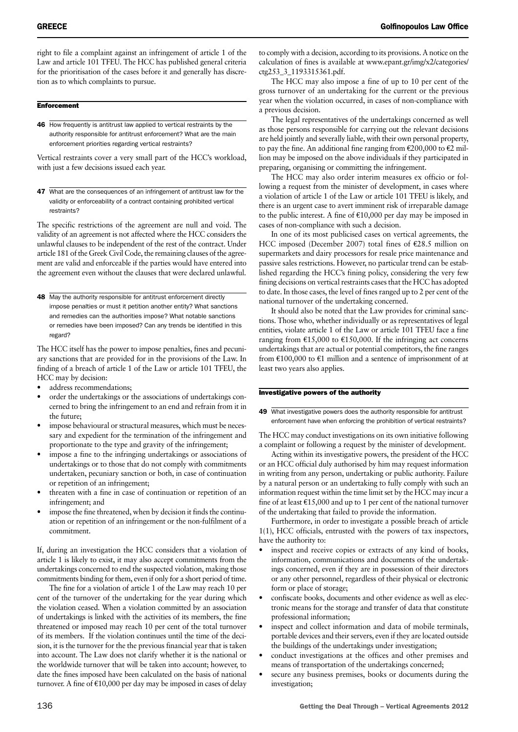right to file a complaint against an infringement of article 1 of the Law and article 101 TFEU. The HCC has published general criteria for the prioritisation of the cases before it and generally has discretion as to which complaints to pursue.

#### **Enforcement**

46 How frequently is antitrust law applied to vertical restraints by the authority responsible for antitrust enforcement? What are the main enforcement priorities regarding vertical restraints?

Vertical restraints cover a very small part of the HCC's workload, with just a few decisions issued each year.

47 What are the consequences of an infringement of antitrust law for the validity or enforceability of a contract containing prohibited vertical restraints?

The specific restrictions of the agreement are null and void. The validity of an agreement is not affected where the HCC considers the unlawful clauses to be independent of the rest of the contract. Under article 181 of the Greek Civil Code, the remaining clauses of the agreement are valid and enforceable if the parties would have entered into the agreement even without the clauses that were declared unlawful.

48 May the authority responsible for antitrust enforcement directly impose penalties or must it petition another entity? What sanctions and remedies can the authorities impose? What notable sanctions or remedies have been imposed? Can any trends be identified in this regard?

The HCC itself has the power to impose penalties, fines and pecuniary sanctions that are provided for in the provisions of the Law. In finding of a breach of article 1 of the Law or article 101 TFEU, the HCC may by decision:

- address recommendations;
- order the undertakings or the associations of undertakings concerned to bring the infringement to an end and refrain from it in the future;
- impose behavioural or structural measures, which must be necessary and expedient for the termination of the infringement and proportionate to the type and gravity of the infringement;
- impose a fine to the infringing undertakings or associations of undertakings or to those that do not comply with commitments undertaken, pecuniary sanction or both, in case of continuation or repetition of an infringement;
- threaten with a fine in case of continuation or repetition of an infringement; and
- impose the fine threatened, when by decision it finds the continuation or repetition of an infringement or the non-fulfilment of a commitment.

If, during an investigation the HCC considers that a violation of article 1 is likely to exist, it may also accept commitments from the undertakings concerned to end the suspected violation, making those commitments binding for them, even if only for a short period of time.

The fine for a violation of article 1 of the Law may reach 10 per cent of the turnover of the undertaking for the year during which the violation ceased. When a violation committed by an association of undertakings is linked with the activities of its members, the fine threatened or imposed may reach 10 per cent of the total turnover of its members. If the violation continues until the time of the decision, it is the turnover for the the previous financial year that is taken into account. The Law does not clarify whether it is the national or the worldwide turnover that will be taken into account; however, to date the fines imposed have been calculated on the basis of national turnover. A fine of  $\epsilon$ 10,000 per day may be imposed in cases of delay

to comply with a decision, according to its provisions. A notice on the calculation of fines is available at www.epant.gr/img/x2/categories/ ctg253\_3\_1193315361.pdf.

The HCC may also impose a fine of up to 10 per cent of the gross turnover of an undertaking for the current or the previous year when the violation occurred, in cases of non-compliance with a previous decision.

The legal representatives of the undertakings concerned as well as those persons responsible for carrying out the relevant decisions are held jointly and severally liable, with their own personal property, to pay the fine. An additional fine ranging from  $\epsilon$ 200,000 to  $\epsilon$ 2 million may be imposed on the above individuals if they participated in preparing, organising or committing the infringement.

The HCC may also order interim measures ex officio or following a request from the minister of development, in cases where a violation of article 1 of the Law or article 101 TFEU is likely, and there is an urgent case to avert imminent risk of irreparable damage to the public interest. A fine of  $E10,000$  per day may be imposed in cases of non-compliance with such a decision.

In one of its most publicised cases on vertical agreements, the HCC imposed (December 2007) total fines of  $E28.5$  million on supermarkets and dairy processors for resale price maintenance and passive sales restrictions. However, no particular trend can be established regarding the HCC's fining policy, considering the very few fining decisions on vertical restraints cases that the HCC has adopted to date. In those cases, the level of fines ranged up to 2 per cent of the national turnover of the undertaking concerned.

It should also be noted that the Law provides for criminal sanctions. Those who, whether individually or as representatives of legal entities, violate article 1 of the Law or article 101 TFEU face a fine ranging from  $£15,000$  to  $£150,000$ . If the infringing act concerns undertakings that are actual or potential competitors, the fine ranges from  $£100,000$  to  $£1$  million and a sentence of imprisonment of at least two years also applies.

#### Investigative powers of the authority

49 What investigative powers does the authority responsible for antitrust enforcement have when enforcing the prohibition of vertical restraints?

The HCC may conduct investigations on its own initiative following a complaint or following a request by the minister of development.

Acting within its investigative powers, the president of the HCC or an HCC official duly authorised by him may request information in writing from any person, undertaking or public authority. Failure by a natural person or an undertaking to fully comply with such an information request within the time limit set by the HCC may incur a fine of at least  $E15,000$  and up to 1 per cent of the national turnover of the undertaking that failed to provide the information.

Furthermore, in order to investigate a possible breach of article 1(1), HCC officials, entrusted with the powers of tax inspectors, have the authority to:

- inspect and receive copies or extracts of any kind of books, information, communications and documents of the undertakings concerned, even if they are in possession of their directors or any other personnel, regardless of their physical or electronic form or place of storage;
- confiscate books, documents and other evidence as well as electronic means for the storage and transfer of data that constitute professional information;
- inspect and collect information and data of mobile terminals, portable devices and their servers, even if they are located outside the buildings of the undertakings under investigation;
- conduct investigations at the offices and other premises and means of transportation of the undertakings concerned;
- secure any business premises, books or documents during the investigation;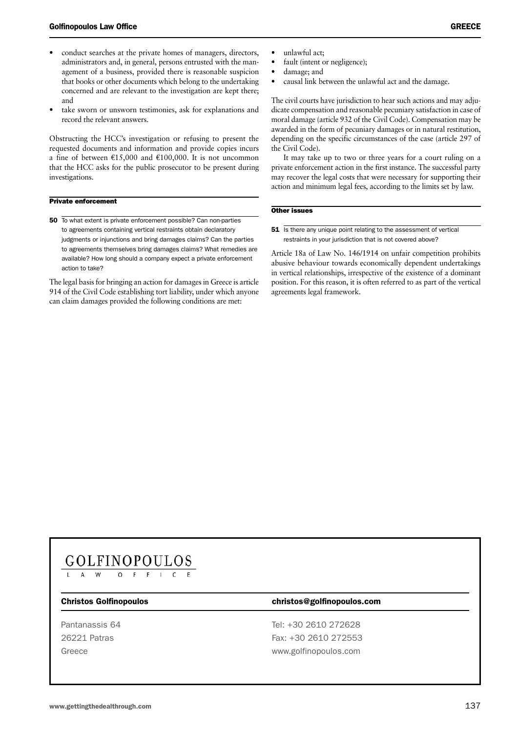- conduct searches at the private homes of managers, directors, administrators and, in general, persons entrusted with the management of a business, provided there is reasonable suspicion that books or other documents which belong to the undertaking concerned and are relevant to the investigation are kept there; and
- take sworn or unsworn testimonies, ask for explanations and record the relevant answers.

Obstructing the HCC's investigation or refusing to present the requested documents and information and provide copies incurs a fine of between  $\epsilon$ 15,000 and  $\epsilon$ 100,000. It is not uncommon that the HCC asks for the public prosecutor to be present during investigations.

#### Private enforcement

50 To what extent is private enforcement possible? Can non-parties to agreements containing vertical restraints obtain declaratory judgments or injunctions and bring damages claims? Can the parties to agreements themselves bring damages claims? What remedies are available? How long should a company expect a private enforcement action to take?

The legal basis for bringing an action for damages in Greece is article 914 of the Civil Code establishing tort liability, under which anyone can claim damages provided the following conditions are met:

- unlawful act;
- fault (intent or negligence);
- damage; and
- causal link between the unlawful act and the damage.

The civil courts have jurisdiction to hear such actions and may adjudicate compensation and reasonable pecuniary satisfaction in case of moral damage (article 932 of the Civil Code). Compensation may be awarded in the form of pecuniary damages or in natural restitution, depending on the specific circumstances of the case (article 297 of the Civil Code).

It may take up to two or three years for a court ruling on a private enforcement action in the first instance. The successful party may recover the legal costs that were necessary for supporting their action and minimum legal fees, according to the limits set by law.

#### Other issues

**51** Is there any unique point relating to the assessment of vertical restraints in your jurisdiction that is not covered above?

Article 18a of Law No. 146/1914 on unfair competition prohibits abusive behaviour towards economically dependent undertakings in vertical relationships, irrespective of the existence of a dominant position. For this reason, it is often referred to as part of the vertical agreements legal framework.

## GOLFINOPOULOS

#### Christos Golfinopoulos christos@golfinopoulos.com

Pantanassis 64 Tel: +30 2610 272628 26221 Patras Fax: +30 2610 272553 Greece www.golfinopoulos.com